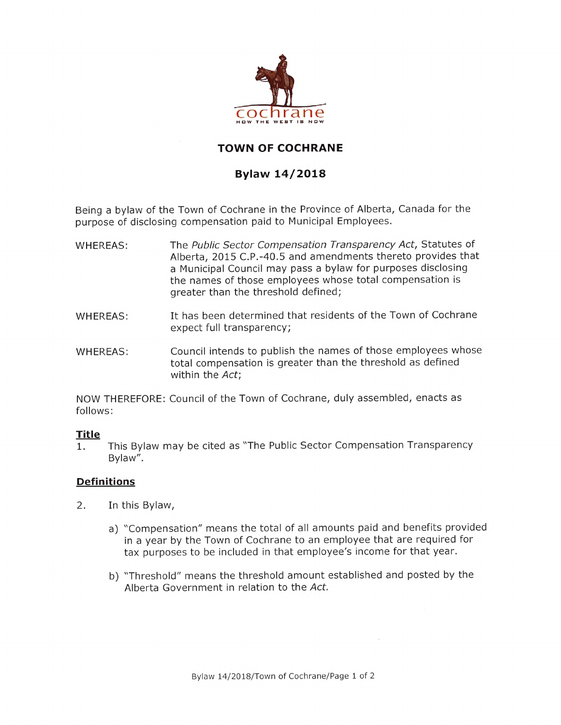

# **TOWN OF COCHRANE**

## **Bylaw 14/2018**

Being a bylaw of the Town of Cochrane in the Province of Alberta, Canada for the purpose of disclosing compensation paid to Municipal Employees.

- The *Public Sector Compensation Transparency Act,* Statutes of Alberta, 2015 C.P.-40.5 and amendments thereto provides that a Municipal Council may pass a bylaw for purposes disclosing the names of those employees whose total compensation is greater than the threshold defined; WHEREAS:
- It has been determined that residents of the Town of Cochrane expect full transparency; WHEREAS:
- Council intends to publish the names of those employees whose total compensation is greater than the threshold as defined within the *Act;* WHEREAS:

NOW THEREFORE: Council of the Town of Cochrane, duly assembled, enacts as follows:

### **Title**

This Bylaw may be cited as "The Public Sector Compensation Transparency Bylaw". 1.

## **Definitions**

- In this Bylaw, 2.
	- a) "Compensation" means the total of all amounts paid and benefits provided in a year by the Town of Cochrane to an employee that are required for tax purposes to be included in that employee's income for that year.
	- b) "Threshold" means the threshold amount established and posted by the Alberta Government in relation to the *Act.*